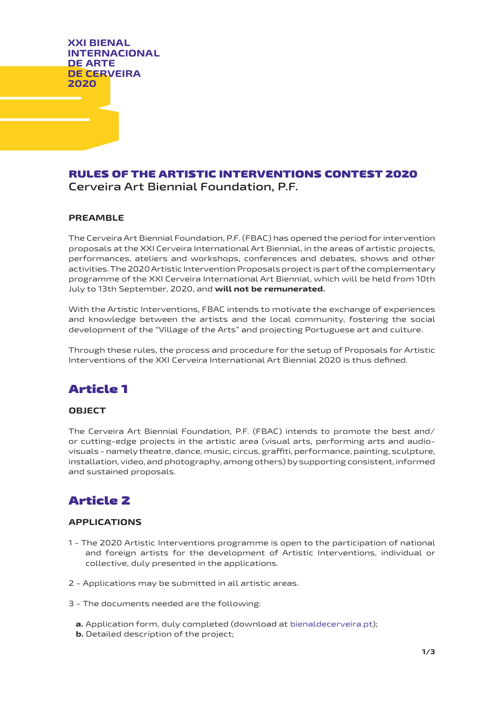**XXI BIENAL INTERNACIONAL DE ARTE DE CERVEIRA 2020**

# RULES OF THE ARTISTIC INTERVENTIONS CONTEST 2020 **Cerveira Art Biennial Foundation, P.F.**

### **PREAMBLE**

The Cerveira Art Biennial Foundation, P.F. (FBAC) has opened the period for intervention proposals at the XXI Cerveira International Art Biennial, in the areas of artistic projects, performances, ateliers and workshops, conferences and debates, shows and other activities. The 2020 Artistic Intervention Proposals project is part of the complementary programme of the XXI Cerveira International Art Biennial, which will be held from 10th July to 13th September, 2020, and **will not be remunerated.**

With the Artistic Interventions, FBAC intends to motivate the exchange of experiences and knowledge between the artists and the local community, fostering the social development of the "Village of the Arts" and projecting Portuguese art and culture.

Through these rules, the process and procedure for the setup of Proposals for Artistic Interventions of the XXI Cerveira International Art Biennial 2020 is thus defined.

# Article 1

### **OBJECT**

The Cerveira Art Biennial Foundation, P.F. (FBAC) intends to promote the best and/ or cutting-edge projects in the artistic area (visual arts, performing arts and audiovisuals - namely theatre, dance, music, circus, graffiti, performance, painting, sculpture, installation, video, and photography, among others) by supporting consistent, informed and sustained proposals.

# Article 2

### **APPLICATIONS**

- 1 The 2020 Artistic Interventions programme is open to the participation of national and foreign artists for the development of Artistic Interventions, individual or collective, duly presented in the applications.
- 2 Applications may be submitted in all artistic areas.
- 3 The documents needed are the following:
	- **a.** Application form, duly completed (download at bienaldecerveira.pt);
	- **b.** Detailed description of the project;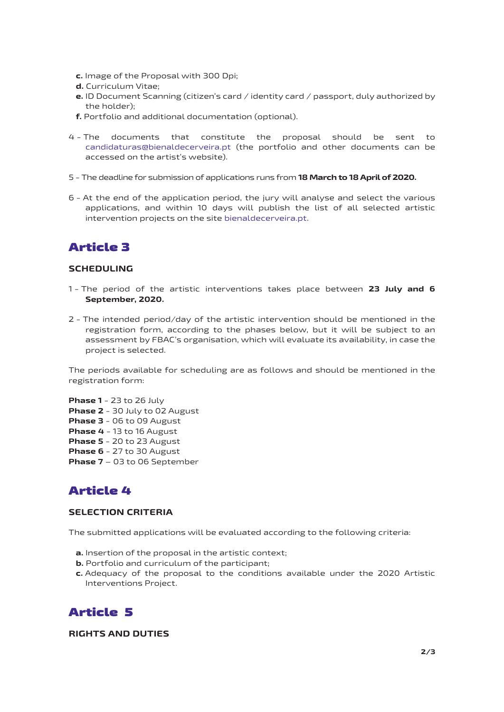- **c.** Image of the Proposal with 300 Dpi;
- **d.** Curriculum Vitae;
- **e.** ID Document Scanning (citizen's card / identity card / passport, duly authorized by the holder);
- **f.** Portfolio and additional documentation (optional).
- 4 The documents that constitute the proposal should be sent to candidaturas@bienaldecerveira.pt (the portfolio and other documents can be accessed on the artist's website).
- 5 The deadline for submission of applications runs from **18 March to 18 April of 2020.**
- 6 At the end of the application period, the jury will analyse and select the various applications, and within 10 days will publish the list of all selected artistic intervention projects on the site bienaldecerveira.pt.

# Article 3

### **SCHEDULING**

- 1 The period of the artistic interventions takes place between **23 July and 6 September, 2020.**
- 2 The intended period/day of the artistic intervention should be mentioned in the registration form, according to the phases below, but it will be subject to an assessment by FBAC's organisation, which will evaluate its availability, in case the project is selected.

The periods available for scheduling are as follows and should be mentioned in the registration form:

**Phase 1** - 23 to 26 July **Phase 2** - 30 July to 02 August **Phase 3** - 06 to 09 August **Phase 4** - 13 to 16 August **Phase 5** - 20 to 23 August **Phase 6** - 27 to 30 August **Phase 7** – 03 to 06 September

# Article 4

#### **SELECTION CRITERIA**

The submitted applications will be evaluated according to the following criteria:

- **a.** Insertion of the proposal in the artistic context;
- **b.** Portfolio and curriculum of the participant:
- **c.** Adequacy of the proposal to the conditions available under the 2020 Artistic Interventions Project.

## Article 5

### **RIGHTS AND DUTIES**